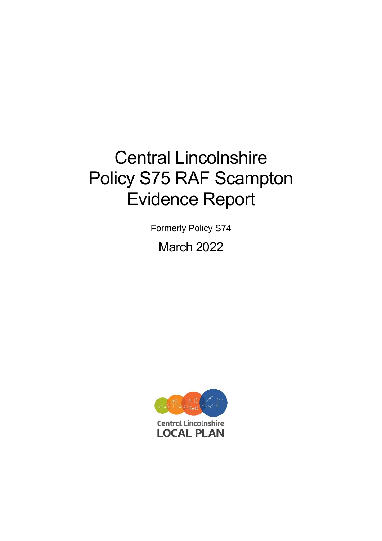# Central Lincolnshire Policy S75 RAF Scampton Evidence Report

Formerly Policy S74 March 2022

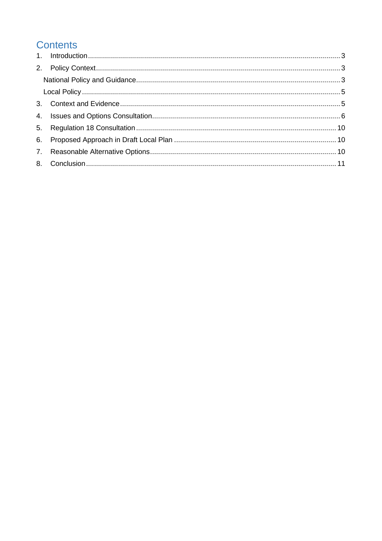# **Contents**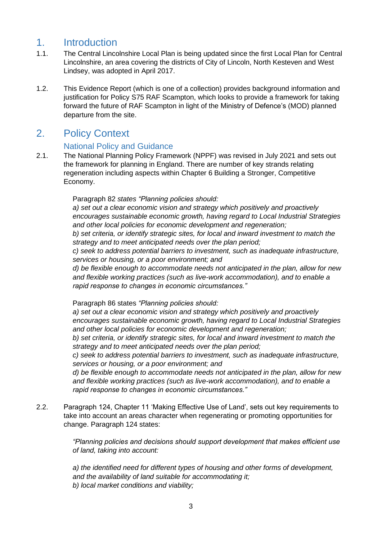## <span id="page-2-0"></span>1. Introduction

- 1.1. The Central Lincolnshire Local Plan is being updated since the first Local Plan for Central Lincolnshire, an area covering the districts of City of Lincoln, North Kesteven and West Lindsey, was adopted in April 2017.
- 1.2. This Evidence Report (which is one of a collection) provides background information and justification for Policy S75 RAF Scampton, which looks to provide a framework for taking forward the future of RAF Scampton in light of the Ministry of Defence's (MOD) planned departure from the site.

## <span id="page-2-1"></span>2. Policy Context

#### National Policy and Guidance

<span id="page-2-2"></span>2.1. The National Planning Policy Framework (NPPF) was revised in July 2021 and sets out the framework for planning in England. There are number of key strands relating regeneration including aspects within Chapter 6 Building a Stronger, Competitive Economy.

#### Paragraph 82 *states "Planning policies should:*

*a) set out a clear economic vision and strategy which positively and proactively encourages sustainable economic growth, having regard to Local Industrial Strategies and other local policies for economic development and regeneration;* 

*b) set criteria, or identify strategic sites, for local and inward investment to match the strategy and to meet anticipated needs over the plan period;* 

*c) seek to address potential barriers to investment, such as inadequate infrastructure, services or housing, or a poor environment; and* 

*d) be flexible enough to accommodate needs not anticipated in the plan, allow for new and flexible working practices (such as live-work accommodation), and to enable a rapid response to changes in economic circumstances."* 

Paragraph 86 states *"Planning policies should:* 

*a) set out a clear economic vision and strategy which positively and proactively encourages sustainable economic growth, having regard to Local Industrial Strategies and other local policies for economic development and regeneration;* 

*b) set criteria, or identify strategic sites, for local and inward investment to match the strategy and to meet anticipated needs over the plan period;* 

*c) seek to address potential barriers to investment, such as inadequate infrastructure, services or housing, or a poor environment; and* 

*d) be flexible enough to accommodate needs not anticipated in the plan, allow for new and flexible working practices (such as live-work accommodation), and to enable a rapid response to changes in economic circumstances."*

2.2. Paragraph 124, Chapter 11 'Making Effective Use of Land', sets out key requirements to take into account an areas character when regenerating or promoting opportunities for change. Paragraph 124 states:

> *"Planning policies and decisions should support development that makes efficient use of land, taking into account:*

*a) the identified need for different types of housing and other forms of development, and the availability of land suitable for accommodating it; b) local market conditions and viability;*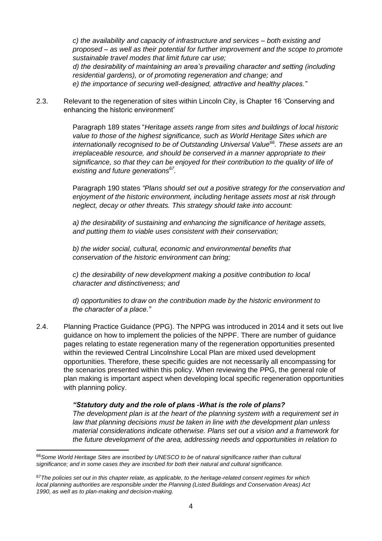*c) the availability and capacity of infrastructure and services – both existing and proposed – as well as their potential for further improvement and the scope to promote sustainable travel modes that limit future car use; d) the desirability of maintaining an area's prevailing character and setting (including* 

*residential gardens), or of promoting regeneration and change; and e) the importance of securing well-designed, attractive and healthy places."*

2.3. Relevant to the regeneration of sites within Lincoln City, is Chapter 16 'Conserving and enhancing the historic environment'

> Paragraph 189 states "*Heritage assets range from sites and buildings of local historic value to those of the highest significance, such as World Heritage Sites which are internationally recognised to be of Outstanding Universal Value<sup>66</sup>. These assets are an irreplaceable resource, and should be conserved in a manner appropriate to their significance, so that they can be enjoyed for their contribution to the quality of life of existing and future generations<sup>67</sup> .*

> Paragraph 190 states *"Plans should set out a positive strategy for the conservation and enjoyment of the historic environment, including heritage assets most at risk through neglect, decay or other threats. This strategy should take into account:*

*a) the desirability of sustaining and enhancing the significance of heritage assets, and putting them to viable uses consistent with their conservation;* 

*b) the wider social, cultural, economic and environmental benefits that conservation of the historic environment can bring;* 

*c) the desirability of new development making a positive contribution to local character and distinctiveness; and* 

*d) opportunities to draw on the contribution made by the historic environment to the character of a place."*

2.4. Planning Practice Guidance (PPG). The NPPG was introduced in 2014 and it sets out live guidance on how to implement the policies of the NPPF. There are number of guidance pages relating to estate regeneration many of the regeneration opportunities presented within the reviewed Central Lincolnshire Local Plan are mixed used development opportunities. Therefore, these specific guides are not necessarily all encompassing for the scenarios presented within this policy. When reviewing the PPG, the general role of plan making is important aspect when developing local specific regeneration opportunities with planning policy.

#### *"Statutory duty and the role of plans -What is the role of plans?*

*The development plan is at the heart of the planning system with a requirement set in law that planning decisions must be taken in line with the development plan unless material considerations indicate otherwise. Plans set out a vision and a framework for the future development of the area, addressing needs and opportunities in relation to* 

<sup>66</sup>*Some World Heritage Sites are inscribed by UNESCO to be of natural significance rather than cultural significance; and in some cases they are inscribed for both their natural and cultural significance.* 

<sup>67</sup>*The policies set out in this chapter relate, as applicable, to the heritage-related consent regimes for which local planning authorities are responsible under the Planning (Listed Buildings and Conservation Areas) Act 1990, as well as to plan-making and decision-making.*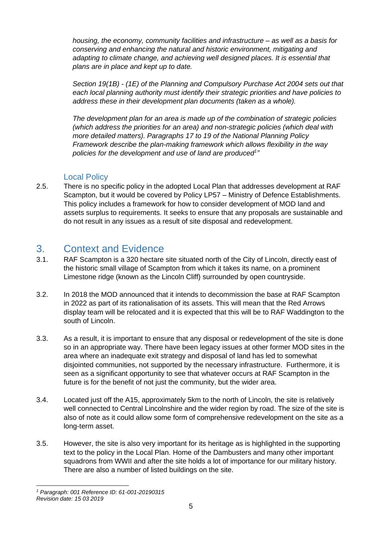*housing, the economy, community facilities and infrastructure – as well as a basis for conserving and enhancing the natural and historic environment, mitigating and adapting to climate change, and achieving well designed places. It is essential that plans are in place and kept up to date.*

*Section 19(1B) - (1E) of the Planning and Compulsory Purchase Act 2004 sets out that each local planning authority must identify their strategic priorities and have policies to address these in their development plan documents (taken as a whole).*

*The development plan for an area is made up of the combination of strategic policies (which address the priorities for an area) and non-strategic policies (which deal with more detailed matters). Paragraphs 17 to 19 of the National Planning Policy Framework describe the plan-making framework which allows flexibility in the way policies for the development and use of land are produced<sup>1</sup> "*

#### Local Policy

<span id="page-4-0"></span>2.5. There is no specific policy in the adopted Local Plan that addresses development at RAF Scampton, but it would be covered by Policy LP57 – Ministry of Defence Establishments. This policy includes a framework for how to consider development of MOD land and assets surplus to requirements. It seeks to ensure that any proposals are sustainable and do not result in any issues as a result of site disposal and redevelopment.

## <span id="page-4-1"></span>3. Context and Evidence

- 3.1. RAF Scampton is a 320 hectare site situated north of the City of Lincoln, directly east of the historic small village of Scampton from which it takes its name, on a prominent Limestone ridge (known as the Lincoln Cliff) surrounded by open countryside.
- 3.2. In 2018 the MOD announced that it intends to decommission the base at RAF Scampton in 2022 as part of its rationalisation of its assets. This will mean that the Red Arrows display team will be relocated and it is expected that this will be to RAF Waddington to the south of Lincoln.
- 3.3. As a result, it is important to ensure that any disposal or redevelopment of the site is done so in an appropriate way. There have been legacy issues at other former MOD sites in the area where an inadequate exit strategy and disposal of land has led to somewhat disjointed communities, not supported by the necessary infrastructure. Furthermore, it is seen as a significant opportunity to see that whatever occurs at RAF Scampton in the future is for the benefit of not just the community, but the wider area.
- 3.4. Located just off the A15, approximately 5km to the north of Lincoln, the site is relatively well connected to Central Lincolnshire and the wider region by road. The size of the site is also of note as it could allow some form of comprehensive redevelopment on the site as a long-term asset.
- 3.5. However, the site is also very important for its heritage as is highlighted in the supporting text to the policy in the Local Plan. Home of the Dambusters and many other important squadrons from WWII and after the site holds a lot of importance for our military history. There are also a number of listed buildings on the site.

*<sup>1</sup> Paragraph: 001 Reference ID: 61-001-20190315 Revision date: 15 03 2019*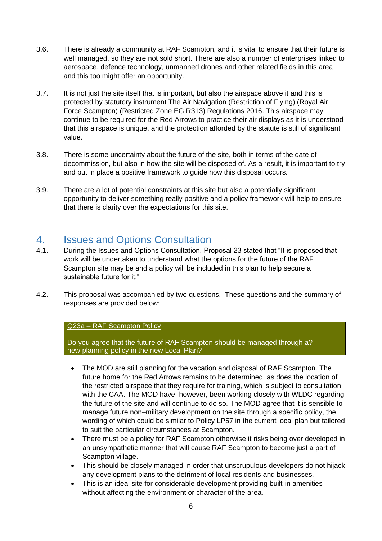- 3.6. There is already a community at RAF Scampton, and it is vital to ensure that their future is well managed, so they are not sold short. There are also a number of enterprises linked to aerospace, defence technology, unmanned drones and other related fields in this area and this too might offer an opportunity.
- 3.7. It is not just the site itself that is important, but also the airspace above it and this is protected by statutory instrument The Air Navigation (Restriction of Flying) (Royal Air Force Scampton) (Restricted Zone EG R313) Regulations 2016. This airspace may continue to be required for the Red Arrows to practice their air displays as it is understood that this airspace is unique, and the protection afforded by the statute is still of significant value.
- 3.8. There is some uncertainty about the future of the site, both in terms of the date of decommission, but also in how the site will be disposed of. As a result, it is important to try and put in place a positive framework to guide how this disposal occurs.
- 3.9. There are a lot of potential constraints at this site but also a potentially significant opportunity to deliver something really positive and a policy framework will help to ensure that there is clarity over the expectations for this site.

## <span id="page-5-0"></span>4. Issues and Options Consultation

- 4.1. During the Issues and Options Consultation, Proposal 23 stated that "It is proposed that work will be undertaken to understand what the options for the future of the RAF Scampton site may be and a policy will be included in this plan to help secure a sustainable future for it."
- 4.2. This proposal was accompanied by two questions. These questions and the summary of responses are provided below:

#### Q23a – RAF Scampton Policy

Do you agree that the future of RAF Scampton should be managed through a? new planning policy in the new Local Plan?

- The MOD are still planning for the vacation and disposal of RAF Scampton. The future home for the Red Arrows remains to be determined, as does the location of the restricted airspace that they require for training, which is subject to consultation with the CAA. The MOD have, however, been working closely with WLDC regarding the future of the site and will continue to do so. The MOD agree that it is sensible to manage future non–military development on the site through a specific policy, the wording of which could be similar to Policy LP57 in the current local plan but tailored to suit the particular circumstances at Scampton.
- There must be a policy for RAF Scampton otherwise it risks being over developed in an unsympathetic manner that will cause RAF Scampton to become just a part of Scampton village.
- This should be closely managed in order that unscrupulous developers do not hijack any development plans to the detriment of local residents and businesses.
- This is an ideal site for considerable development providing built-in amenities without affecting the environment or character of the area.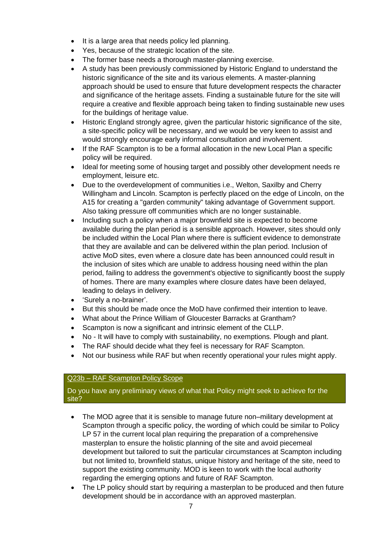- It is a large area that needs policy led planning.
- Yes, because of the strategic location of the site.
- The former base needs a thorough master-planning exercise.
- A study has been previously commissioned by Historic England to understand the historic significance of the site and its various elements. A master-planning approach should be used to ensure that future development respects the character and significance of the heritage assets. Finding a sustainable future for the site will require a creative and flexible approach being taken to finding sustainable new uses for the buildings of heritage value.
- Historic England strongly agree, given the particular historic significance of the site, a site-specific policy will be necessary, and we would be very keen to assist and would strongly encourage early informal consultation and involvement.
- If the RAF Scampton is to be a formal allocation in the new Local Plan a specific policy will be required.
- Ideal for meeting some of housing target and possibly other development needs re employment, leisure etc.
- Due to the overdevelopment of communities i.e., Welton, Saxilby and Cherry Willingham and Lincoln. Scampton is perfectly placed on the edge of Lincoln, on the A15 for creating a "garden community" taking advantage of Government support. Also taking pressure off communities which are no longer sustainable.
- Including such a policy when a major brownfield site is expected to become available during the plan period is a sensible approach. However, sites should only be included within the Local Plan where there is sufficient evidence to demonstrate that they are available and can be delivered within the plan period. Inclusion of active MoD sites, even where a closure date has been announced could result in the inclusion of sites which are unable to address housing need within the plan period, failing to address the government's objective to significantly boost the supply of homes. There are many examples where closure dates have been delayed, leading to delays in delivery.
- 'Surely a no-brainer'.
- But this should be made once the MoD have confirmed their intention to leave.
- What about the Prince William of Gloucester Barracks at Grantham?
- Scampton is now a significant and intrinsic element of the CLLP.
- No It will have to comply with sustainability, no exemptions. Plough and plant.
- The RAF should decide what they feel is necessary for RAF Scampton.
- Not our business while RAF but when recently operational your rules might apply.

#### Q23b – RAF Scampton Policy Scope

Do you have any preliminary views of what that Policy might seek to achieve for the site?

- The MOD agree that it is sensible to manage future non–military development at Scampton through a specific policy, the wording of which could be similar to Policy LP 57 in the current local plan requiring the preparation of a comprehensive masterplan to ensure the holistic planning of the site and avoid piecemeal development but tailored to suit the particular circumstances at Scampton including but not limited to, brownfield status, unique history and heritage of the site, need to support the existing community. MOD is keen to work with the local authority regarding the emerging options and future of RAF Scampton.
- The LP policy should start by requiring a masterplan to be produced and then future development should be in accordance with an approved masterplan.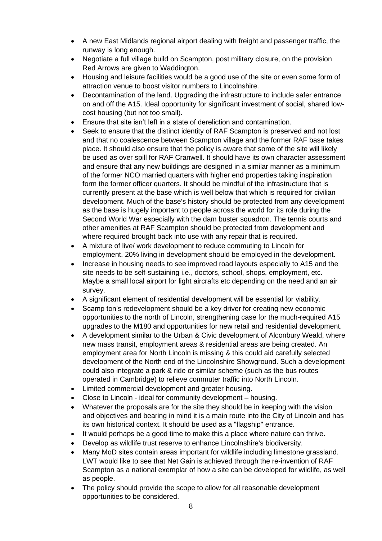- A new East Midlands regional airport dealing with freight and passenger traffic, the runway is long enough.
- Negotiate a full village build on Scampton, post military closure, on the provision Red Arrows are given to Waddington.
- Housing and leisure facilities would be a good use of the site or even some form of attraction venue to boost visitor numbers to Lincolnshire.
- Decontamination of the land. Upgrading the infrastructure to include safer entrance on and off the A15. Ideal opportunity for significant investment of social, shared lowcost housing (but not too small).
- Ensure that site isn't left in a state of dereliction and contamination.
- Seek to ensure that the distinct identity of RAF Scampton is preserved and not lost and that no coalescence between Scampton village and the former RAF base takes place. It should also ensure that the policy is aware that some of the site will likely be used as over spill for RAF Cranwell. It should have its own character assessment and ensure that any new buildings are designed in a similar manner as a minimum of the former NCO married quarters with higher end properties taking inspiration form the former officer quarters. It should be mindful of the infrastructure that is currently present at the base which is well below that which is required for civilian development. Much of the base's history should be protected from any development as the base is hugely important to people across the world for its role during the Second World War especially with the dam buster squadron. The tennis courts and other amenities at RAF Scampton should be protected from development and where required brought back into use with any repair that is required.
- A mixture of live/ work development to reduce commuting to Lincoln for employment. 20% living in development should be employed in the development.
- Increase in housing needs to see improved road layouts especially to A15 and the site needs to be self-sustaining i.e., doctors, school, shops, employment, etc. Maybe a small local airport for light aircrafts etc depending on the need and an air survey.
- A significant element of residential development will be essential for viability.
- Scamp ton's redevelopment should be a key driver for creating new economic opportunities to the north of Lincoln, strengthening case for the much-required A15 upgrades to the M180 and opportunities for new retail and residential development.
- A development similar to the Urban & Civic development of Alconbury Weald, where new mass transit, employment areas & residential areas are being created. An employment area for North Lincoln is missing & this could aid carefully selected development of the North end of the Lincolnshire Showground. Such a development could also integrate a park & ride or similar scheme (such as the bus routes operated in Cambridge) to relieve commuter traffic into North Lincoln.
- Limited commercial development and greater housing.
- Close to Lincoln ideal for community development housing.
- Whatever the proposals are for the site they should be in keeping with the vision and objectives and bearing in mind it is a main route into the City of Lincoln and has its own historical context. It should be used as a "flagship" entrance.
- It would perhaps be a good time to make this a place where nature can thrive.
- Develop as wildlife trust reserve to enhance Lincolnshire's biodiversity.
- Many MoD sites contain areas important for wildlife including limestone grassland. LWT would like to see that Net Gain is achieved through the re-invention of RAF Scampton as a national exemplar of how a site can be developed for wildlife, as well as people.
- The policy should provide the scope to allow for all reasonable development opportunities to be considered.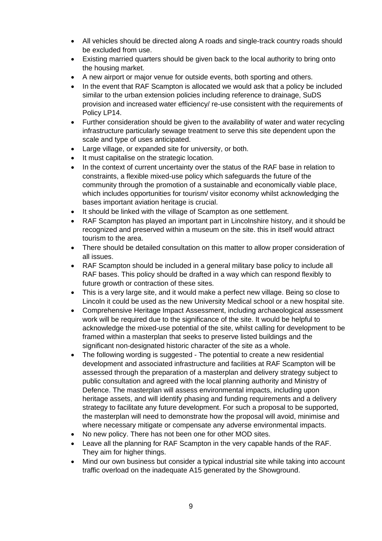- All vehicles should be directed along A roads and single-track country roads should be excluded from use.
- Existing married quarters should be given back to the local authority to bring onto the housing market.
- A new airport or major venue for outside events, both sporting and others.
- In the event that RAF Scampton is allocated we would ask that a policy be included similar to the urban extension policies including reference to drainage, SuDS provision and increased water efficiency/ re-use consistent with the requirements of Policy LP14.
- Further consideration should be given to the availability of water and water recycling infrastructure particularly sewage treatment to serve this site dependent upon the scale and type of uses anticipated.
- Large village, or expanded site for university, or both.
- It must capitalise on the strategic location.
- In the context of current uncertainty over the status of the RAF base in relation to constraints, a flexible mixed-use policy which safeguards the future of the community through the promotion of a sustainable and economically viable place, which includes opportunities for tourism/ visitor economy whilst acknowledging the bases important aviation heritage is crucial.
- It should be linked with the village of Scampton as one settlement.
- RAF Scampton has played an important part in Lincolnshire history, and it should be recognized and preserved within a museum on the site. this in itself would attract tourism to the area.
- There should be detailed consultation on this matter to allow proper consideration of all issues.
- RAF Scampton should be included in a general military base policy to include all RAF bases. This policy should be drafted in a way which can respond flexibly to future growth or contraction of these sites.
- This is a very large site, and it would make a perfect new village. Being so close to Lincoln it could be used as the new University Medical school or a new hospital site.
- Comprehensive Heritage Impact Assessment, including archaeological assessment work will be required due to the significance of the site. It would be helpful to acknowledge the mixed-use potential of the site, whilst calling for development to be framed within a masterplan that seeks to preserve listed buildings and the significant non-designated historic character of the site as a whole.
- The following wording is suggested The potential to create a new residential development and associated infrastructure and facilities at RAF Scampton will be assessed through the preparation of a masterplan and delivery strategy subject to public consultation and agreed with the local planning authority and Ministry of Defence. The masterplan will assess environmental impacts, including upon heritage assets, and will identify phasing and funding requirements and a delivery strategy to facilitate any future development. For such a proposal to be supported, the masterplan will need to demonstrate how the proposal will avoid, minimise and where necessary mitigate or compensate any adverse environmental impacts.
- No new policy. There has not been one for other MOD sites.
- Leave all the planning for RAF Scampton in the very capable hands of the RAF. They aim for higher things.
- Mind our own business but consider a typical industrial site while taking into account traffic overload on the inadequate A15 generated by the Showground.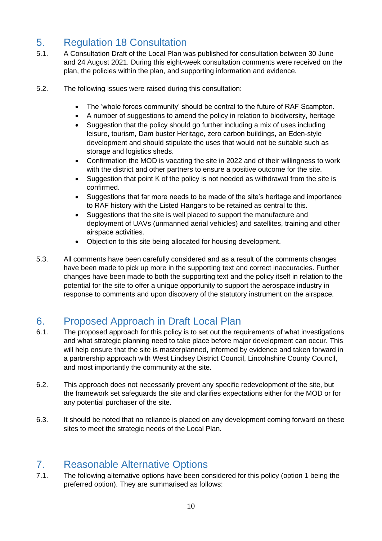# <span id="page-9-0"></span>5. Regulation 18 Consultation

- 5.1. A Consultation Draft of the Local Plan was published for consultation between 30 June and 24 August 2021. During this eight-week consultation comments were received on the plan, the policies within the plan, and supporting information and evidence.
- 5.2. The following issues were raised during this consultation:
	- The 'whole forces community' should be central to the future of RAF Scampton.
	- A number of suggestions to amend the policy in relation to biodiversity, heritage
	- Suggestion that the policy should go further including a mix of uses including leisure, tourism, Dam buster Heritage, zero carbon buildings, an Eden-style development and should stipulate the uses that would not be suitable such as storage and logistics sheds.
	- Confirmation the MOD is vacating the site in 2022 and of their willingness to work with the district and other partners to ensure a positive outcome for the site.
	- Suggestion that point K of the policy is not needed as withdrawal from the site is confirmed.
	- Suggestions that far more needs to be made of the site's heritage and importance to RAF history with the Listed Hangars to be retained as central to this.
	- Suggestions that the site is well placed to support the manufacture and deployment of UAVs (unmanned aerial vehicles) and satellites, training and other airspace activities.
	- Objection to this site being allocated for housing development.
- 5.3. All comments have been carefully considered and as a result of the comments changes have been made to pick up more in the supporting text and correct inaccuracies. Further changes have been made to both the supporting text and the policy itself in relation to the potential for the site to offer a unique opportunity to support the aerospace industry in response to comments and upon discovery of the statutory instrument on the airspace.

# <span id="page-9-1"></span>6. Proposed Approach in Draft Local Plan

- 6.1. The proposed approach for this policy is to set out the requirements of what investigations and what strategic planning need to take place before major development can occur. This will help ensure that the site is masterplanned, informed by evidence and taken forward in a partnership approach with West Lindsey District Council, Lincolnshire County Council, and most importantly the community at the site.
- 6.2. This approach does not necessarily prevent any specific redevelopment of the site, but the framework set safeguards the site and clarifies expectations either for the MOD or for any potential purchaser of the site.
- 6.3. It should be noted that no reliance is placed on any development coming forward on these sites to meet the strategic needs of the Local Plan.

## <span id="page-9-2"></span>7. Reasonable Alternative Options

7.1. The following alternative options have been considered for this policy (option 1 being the preferred option). They are summarised as follows: